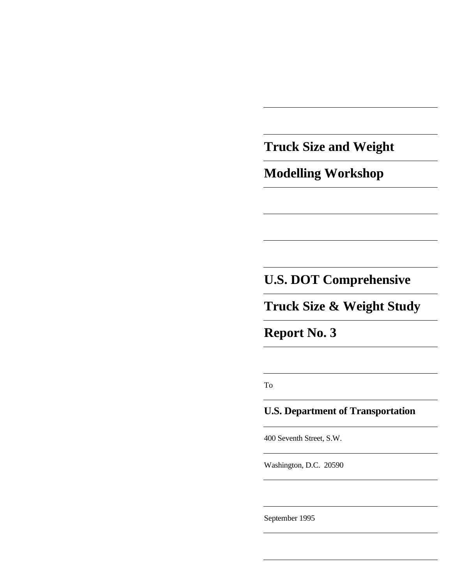**Truck Size and Weight**

**Modelling Workshop**

# **U.S. DOT Comprehensive**

**Truck Size & Weight Study**

**Report No. 3**

To

### **U.S. Department of Transportation**

400 Seventh Street, S.W.

Washington, D.C. 20590

September 1995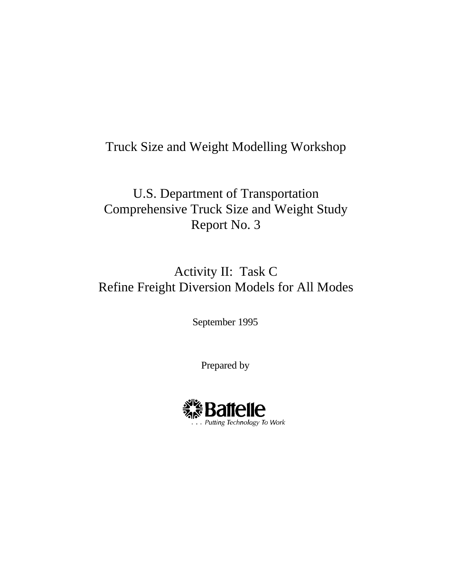# Truck Size and Weight Modelling Workshop

U.S. Department of Transportation Comprehensive Truck Size and Weight Study Report No. 3

# Activity II: Task C Refine Freight Diversion Models for All Modes

September 1995

Prepared by

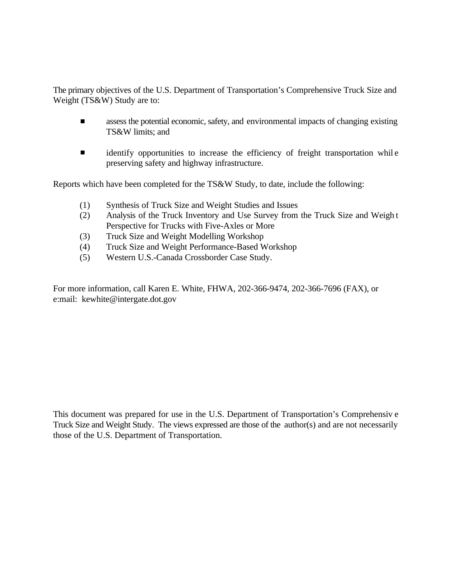The primary objectives of the U.S. Department of Transportation's Comprehensive Truck Size and Weight (TS&W) Study are to:

- $\blacksquare$ assess the potential economic, safety, and environmental impacts of changing existing TS&W limits; and
- $\blacksquare$ identify opportunities to increase the efficiency of freight transportation whil e preserving safety and highway infrastructure.

Reports which have been completed for the TS&W Study, to date, include the following:

- (1) Synthesis of Truck Size and Weight Studies and Issues
- (2) Analysis of the Truck Inventory and Use Survey from the Truck Size and Weigh t Perspective for Trucks with Five-Axles or More
- (3) Truck Size and Weight Modelling Workshop
- (4) Truck Size and Weight Performance-Based Workshop
- (5) Western U.S.-Canada Crossborder Case Study.

For more information, call Karen E. White, FHWA, 202-366-9474, 202-366-7696 (FAX), or e:mail: kewhite@intergate.dot.gov

This document was prepared for use in the U.S. Department of Transportation's Comprehensiv e Truck Size and Weight Study. The views expressed are those of the author(s) and are not necessarily those of the U.S. Department of Transportation.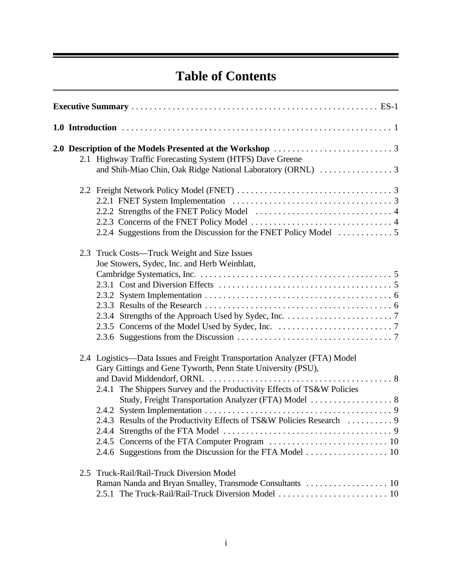# **Table of Contents**

|  |  | 2.1 Highway Traffic Forecasting System (HTFS) Dave Greene                 |  |  |
|--|--|---------------------------------------------------------------------------|--|--|
|  |  |                                                                           |  |  |
|  |  |                                                                           |  |  |
|  |  |                                                                           |  |  |
|  |  |                                                                           |  |  |
|  |  |                                                                           |  |  |
|  |  | 2.2.4 Suggestions from the Discussion for the FNET Policy Model           |  |  |
|  |  | 2.3 Truck Costs—Truck Weight and Size Issues                              |  |  |
|  |  | Joe Stowers, Sydec, Inc. and Herb Weinblatt,                              |  |  |
|  |  |                                                                           |  |  |
|  |  |                                                                           |  |  |
|  |  |                                                                           |  |  |
|  |  |                                                                           |  |  |
|  |  |                                                                           |  |  |
|  |  |                                                                           |  |  |
|  |  |                                                                           |  |  |
|  |  | 2.4 Logistics—Data Issues and Freight Transportation Analyzer (FTA) Model |  |  |
|  |  | Gary Gittings and Gene Tyworth, Penn State University (PSU),              |  |  |
|  |  |                                                                           |  |  |
|  |  | 2.4.1 The Shippers Survey and the Productivity Effects of TS&W Policies   |  |  |
|  |  |                                                                           |  |  |
|  |  |                                                                           |  |  |
|  |  |                                                                           |  |  |
|  |  |                                                                           |  |  |
|  |  |                                                                           |  |  |
|  |  | 2.5 Truck-Rail/Rail-Truck Diversion Model                                 |  |  |
|  |  |                                                                           |  |  |
|  |  |                                                                           |  |  |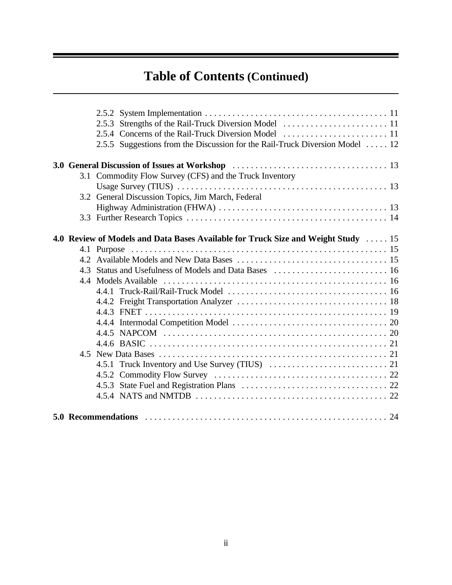# **Table of Contents (Continued)**

|  | 2.5.5 Suggestions from the Discussion for the Rail-Truck Diversion Model  12      |  |
|--|-----------------------------------------------------------------------------------|--|
|  |                                                                                   |  |
|  | 3.1 Commodity Flow Survey (CFS) and the Truck Inventory                           |  |
|  |                                                                                   |  |
|  | 3.2 General Discussion Topics, Jim March, Federal                                 |  |
|  |                                                                                   |  |
|  |                                                                                   |  |
|  |                                                                                   |  |
|  | 4.0 Review of Models and Data Bases Available for Truck Size and Weight Study  15 |  |
|  |                                                                                   |  |
|  |                                                                                   |  |
|  |                                                                                   |  |
|  |                                                                                   |  |
|  |                                                                                   |  |
|  |                                                                                   |  |
|  |                                                                                   |  |
|  |                                                                                   |  |
|  |                                                                                   |  |
|  |                                                                                   |  |
|  |                                                                                   |  |
|  |                                                                                   |  |
|  |                                                                                   |  |
|  |                                                                                   |  |
|  |                                                                                   |  |
|  |                                                                                   |  |
|  |                                                                                   |  |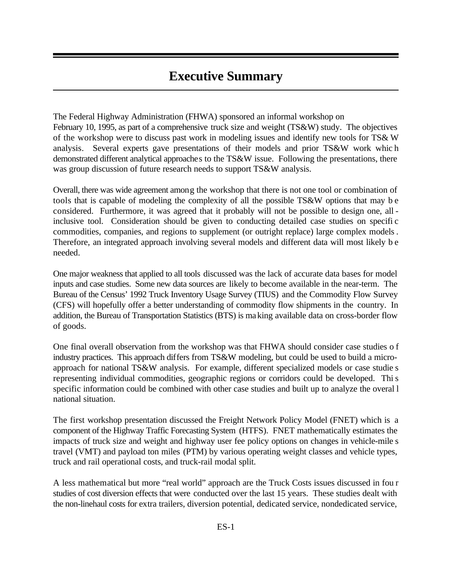# **Executive Summary**

The Federal Highway Administration (FHWA) sponsored an informal workshop on February 10, 1995, as part of a comprehensive truck size and weight (TS&W) study. The objectives of the workshop were to discuss past work in modeling issues and identify new tools for TS& W analysis. Several experts gave presentations of their models and prior TS&W work whic h demonstrated different analytical approaches to the TS&W issue. Following the presentations, there was group discussion of future research needs to support TS&W analysis.

Overall, there was wide agreement among the workshop that there is not one tool or combination of tools that is capable of modeling the complexity of all the possible TS&W options that may b e considered. Furthermore, it was agreed that it probably will not be possible to design one, all inclusive tool. Consideration should be given to conducting detailed case studies on specifi c commodities, companies, and regions to supplement (or outright replace) large complex models. Therefore, an integrated approach involving several models and different data will most likely b e needed.

One major weakness that applied to all tools discussed was the lack of accurate data bases for model inputs and case studies. Some new data sources are likely to become available in the near-term. The Bureau of the Census' 1992 Truck Inventory Usage Survey (TIUS) and the Commodity Flow Survey (CFS) will hopefully offer a better understanding of commodity flow shipments in the country. In addition, the Bureau of Transportation Statistics (BTS) is making available data on cross-border flow of goods.

One final overall observation from the workshop was that FHWA should consider case studies o f industry practices. This approach differs from TS&W modeling, but could be used to build a microapproach for national TS&W analysis. For example, different specialized models or case studie s representing individual commodities, geographic regions or corridors could be developed. This specific information could be combined with other case studies and built up to analyze the overal l national situation.

The first workshop presentation discussed the Freight Network Policy Model (FNET) which is a component of the Highway Traffic Forecasting System (HTFS). FNET mathematically estimates the impacts of truck size and weight and highway user fee policy options on changes in vehicle-mile s travel (VMT) and payload ton miles (PTM) by various operating weight classes and vehicle types, truck and rail operational costs, and truck-rail modal split.

A less mathematical but more "real world" approach are the Truck Costs issues discussed in fou r studies of cost diversion effects that were conducted over the last 15 years. These studies dealt with the non-linehaul costs for extra trailers, diversion potential, dedicated service, nondedicated service,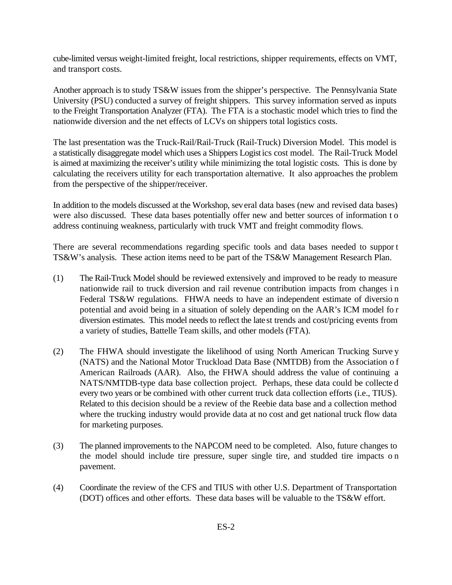cube-limited versus weight-limited freight, local restrictions, shipper requirements, effects on VMT, and transport costs.

Another approach is to study TS&W issues from the shipper's perspective. The Pennsylvania State University (PSU) conducted a survey of freight shippers. This survey information served as inputs to the Freight Transportation Analyzer (FTA). The FTA is a stochastic model which tries to find the nationwide diversion and the net effects of LCVs on shippers total logistics costs.

The last presentation was the Truck-Rail/Rail-Truck (Rail-Truck) Diversion Model. This model is a statistically disaggregate model which uses a Shippers Logistics cost model. The Rail-Truck Model is aimed at maximizing the receiver's utility while minimizing the total logistic costs. This is done by calculating the receivers utility for each transportation alternative. It also approaches the problem from the perspective of the shipper/receiver.

In addition to the models discussed at the Workshop, several data bases (new and revised data bases) were also discussed. These data bases potentially offer new and better sources of information t o address continuing weakness, particularly with truck VMT and freight commodity flows.

There are several recommendations regarding specific tools and data bases needed to suppor t TS&W's analysis. These action items need to be part of the TS&W Management Research Plan.

- (1) The Rail-Truck Model should be reviewed extensively and improved to be ready to measure nationwide rail to truck diversion and rail revenue contribution impacts from changes i n Federal TS&W regulations. FHWA needs to have an independent estimate of diversio n potential and avoid being in a situation of solely depending on the AAR's ICM model fo r diversion estimates. This model needs to reflect the latest trends and cost/pricing events from a variety of studies, Battelle Team skills, and other models (FTA).
- (2) The FHWA should investigate the likelihood of using North American Trucking Surve y (NATS) and the National Motor Truckload Data Base (NMTDB) from the Association o f American Railroads (AAR). Also, the FHWA should address the value of continuing a NATS/NMTDB-type data base collection project. Perhaps, these data could be collecte d every two years or be combined with other current truck data collection efforts (i.e., TIUS). Related to this decision should be a review of the Reebie data base and a collection method where the trucking industry would provide data at no cost and get national truck flow data for marketing purposes.
- (3) The planned improvements to the NAPCOM need to be completed. Also, future changes to the model should include tire pressure, super single tire, and studded tire impacts o n pavement.
- (4) Coordinate the review of the CFS and TIUS with other U.S. Department of Transportation (DOT) offices and other efforts. These data bases will be valuable to the TS&W effort.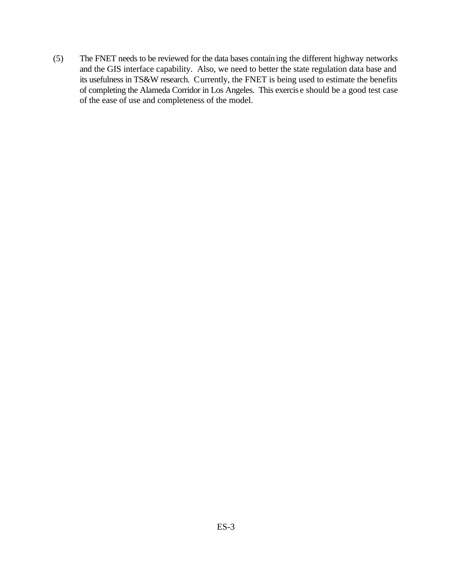(5) The FNET needs to be reviewed for the data bases containing the different highway networks and the GIS interface capability. Also, we need to better the state regulation data base and its usefulness in TS&W research. Currently, the FNET is being used to estimate the benefits of completing the Alameda Corridor in Los Angeles. This exercis e should be a good test case of the ease of use and completeness of the model.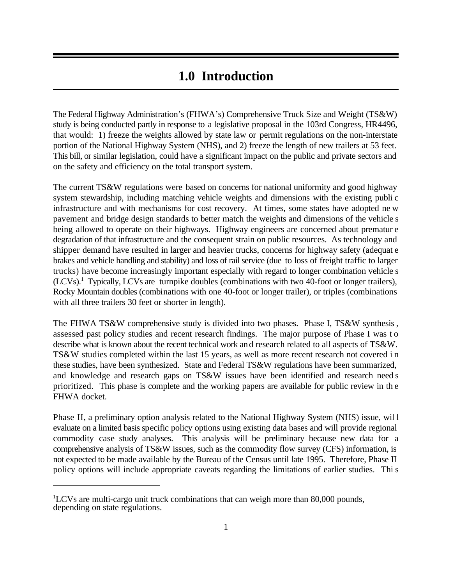## **1.0 Introduction**

The Federal Highway Administration's (FHWA's) Comprehensive Truck Size and Weight (TS&W) study is being conducted partly in response to a legislative proposal in the 103rd Congress, HR4496, that would: 1) freeze the weights allowed by state law or permit regulations on the non-interstate portion of the National Highway System (NHS), and 2) freeze the length of new trailers at 53 feet. This bill, or similar legislation, could have a significant impact on the public and private sectors and on the safety and efficiency on the total transport system.

The current TS&W regulations were based on concerns for national uniformity and good highway system stewardship, including matching vehicle weights and dimensions with the existing publi c infrastructure and with mechanisms for cost recovery. At times, some states have adopted ne w pavement and bridge design standards to better match the weights and dimensions of the vehicle s being allowed to operate on their highways. Highway engineers are concerned about prematur e degradation of that infrastructure and the consequent strain on public resources. As technology and shipper demand have resulted in larger and heavier trucks, concerns for highway safety (adequat e brakes and vehicle handling and stability) and loss of rail service (due to loss of freight traffic to larger trucks) have become increasingly important especially with regard to longer combination vehicle s  $(LCVs).$ <sup>1</sup> Typically, LCVs are turnpike doubles (combinations with two 40-foot or longer trailers), Rocky Mountain doubles (combinations with one 40-foot or longer trailer), or triples (combinations with all three trailers 30 feet or shorter in length).

The FHWA TS&W comprehensive study is divided into two phases. Phase I, TS&W synthesis, assessed past policy studies and recent research findings. The major purpose of Phase I was t o describe what is known about the recent technical work and research related to all aspects of TS&W. TS&W studies completed within the last 15 years, as well as more recent research not covered i n these studies, have been synthesized. State and Federal TS&W regulations have been summarized, and knowledge and research gaps on TS&W issues have been identified and research need s prioritized. This phase is complete and the working papers are available for public review in th e FHWA docket.

Phase II, a preliminary option analysis related to the National Highway System (NHS) issue, wil l evaluate on a limited basis specific policy options using existing data bases and will provide regional commodity case study analyses. This analysis will be preliminary because new data for a comprehensive analysis of TS&W issues, such as the commodity flow survey (CFS) information, is not expected to be made available by the Bureau of the Census until late 1995. Therefore, Phase II policy options will include appropriate caveats regarding the limitations of earlier studies. Thi s

 $\rm ^1LCVs$  are multi-cargo unit truck combinations that can weigh more than 80,000 pounds, depending on state regulations.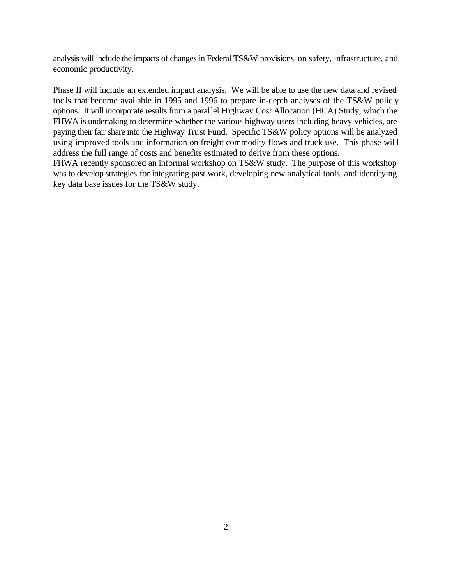analysis will include the impacts of changes in Federal TS&W provisions on safety, infrastructure, and economic productivity.

Phase II will include an extended impact analysis. We will be able to use the new data and revised tools that become available in 1995 and 1996 to prepare in-depth analyses of the TS&W polic y options. It will incorporate results from a parallel Highway Cost Allocation (HCA) Study, which the FHWA is undertaking to determine whether the various highway users including heavy vehicles, are paying their fair share into the Highway Trust Fund. Specific TS&W policy options will be analyzed using improved tools and information on freight commodity flows and truck use. This phase wil l address the full range of costs and benefits estimated to derive from these options.

FHWA recently sponsored an informal workshop on TS&W study. The purpose of this workshop was to develop strategies for integrating past work, developing new analytical tools, and identifying key data base issues for the TS&W study.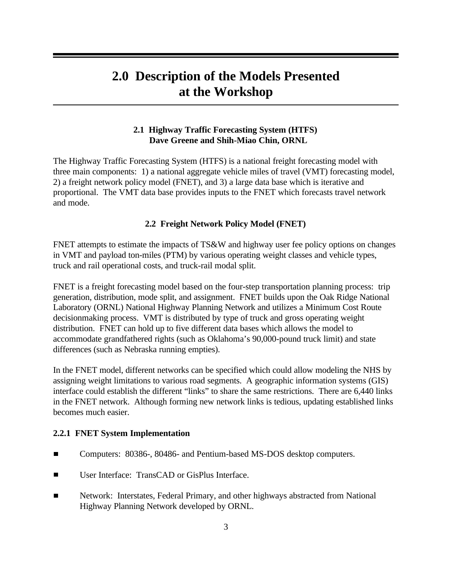# **2.0 Description of the Models Presented at the Workshop**

#### **2.1 Highway Traffic Forecasting System (HTFS) Dave Greene and Shih-Miao Chin, ORNL**

The Highway Traffic Forecasting System (HTFS) is a national freight forecasting model with three main components: 1) a national aggregate vehicle miles of travel (VMT) forecasting model, 2) a freight network policy model (FNET), and 3) a large data base which is iterative and proportional. The VMT data base provides inputs to the FNET which forecasts travel network and mode.

#### **2.2 Freight Network Policy Model (FNET)**

FNET attempts to estimate the impacts of TS&W and highway user fee policy options on changes in VMT and payload ton-miles (PTM) by various operating weight classes and vehicle types, truck and rail operational costs, and truck-rail modal split.

FNET is a freight forecasting model based on the four-step transportation planning process: trip generation, distribution, mode split, and assignment. FNET builds upon the Oak Ridge National Laboratory (ORNL) National Highway Planning Network and utilizes a Minimum Cost Route decisionmaking process. VMT is distributed by type of truck and gross operating weight distribution. FNET can hold up to five different data bases which allows the model to accommodate grandfathered rights (such as Oklahoma's 90,000-pound truck limit) and state differences (such as Nebraska running empties).

In the FNET model, different networks can be specified which could allow modeling the NHS by assigning weight limitations to various road segments. A geographic information systems (GIS) interface could establish the different "links" to share the same restrictions. There are 6,440 links in the FNET network. Although forming new network links is tedious, updating established links becomes much easier.

#### **2.2.1 FNET System Implementation**

- $\blacksquare$ Computers: 80386-, 80486- and Pentium-based MS-DOS desktop computers.
- User Interface: TransCAD or GisPlus Interface.  $\blacksquare$
- Network: Interstates, Federal Primary, and other highways abstracted from National  $\blacksquare$ Highway Planning Network developed by ORNL.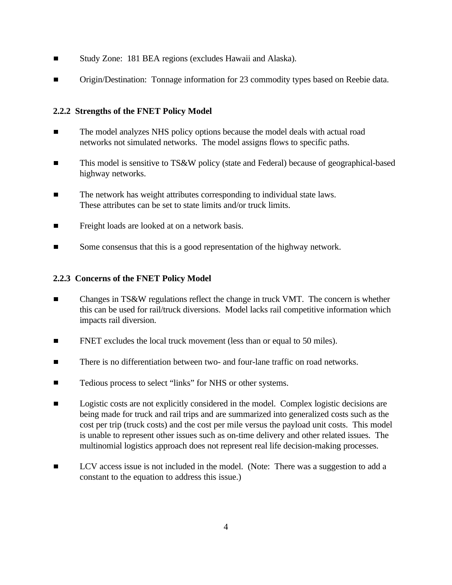- Study Zone: 181 BEA regions (excludes Hawaii and Alaska).  $\blacksquare$
- $\blacksquare$ Origin/Destination: Tonnage information for 23 commodity types based on Reebie data.

### **2.2.2 Strengths of the FNET Policy Model**

- $\blacksquare$ The model analyzes NHS policy options because the model deals with actual road networks not simulated networks. The model assigns flows to specific paths.
- $\blacksquare$ This model is sensitive to TS&W policy (state and Federal) because of geographical-based highway networks.
- $\blacksquare$ The network has weight attributes corresponding to individual state laws. These attributes can be set to state limits and/or truck limits.
- $\blacksquare$ Freight loads are looked at on a network basis.
- $\blacksquare$ Some consensus that this is a good representation of the highway network.

### **2.2.3 Concerns of the FNET Policy Model**

- Changes in TS&W regulations reflect the change in truck VMT. The concern is whether  $\blacksquare$ this can be used for rail/truck diversions. Model lacks rail competitive information which impacts rail diversion.
- $\blacksquare$ FNET excludes the local truck movement (less than or equal to 50 miles).
- There is no differentiation between two- and four-lane traffic on road networks.  $\blacksquare$
- $\blacksquare$ Tedious process to select "links" for NHS or other systems.
- $\blacksquare$ Logistic costs are not explicitly considered in the model. Complex logistic decisions are being made for truck and rail trips and are summarized into generalized costs such as the cost per trip (truck costs) and the cost per mile versus the payload unit costs. This model is unable to represent other issues such as on-time delivery and other related issues. The multinomial logistics approach does not represent real life decision-making processes.
- $\blacksquare$ LCV access issue is not included in the model. (Note: There was a suggestion to add a constant to the equation to address this issue.)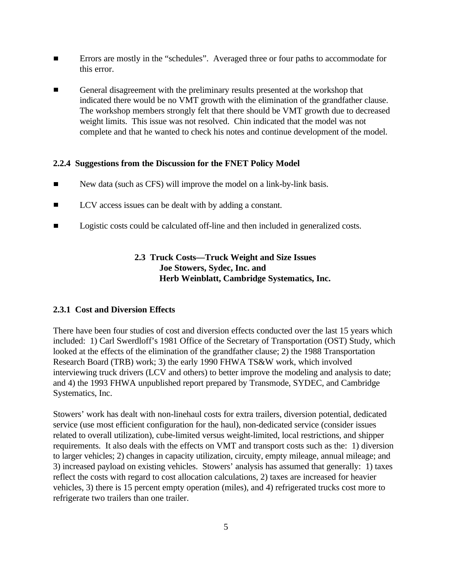- Errors are mostly in the "schedules". Averaged three or four paths to accommodate for  $\blacksquare$ this error.
- General disagreement with the preliminary results presented at the workshop that  $\blacksquare$ indicated there would be no VMT growth with the elimination of the grandfather clause. The workshop members strongly felt that there should be VMT growth due to decreased weight limits. This issue was not resolved. Chin indicated that the model was not complete and that he wanted to check his notes and continue development of the model.

#### **2.2.4 Suggestions from the Discussion for the FNET Policy Model**

- New data (such as CFS) will improve the model on a link-by-link basis.  $\blacksquare$
- LCV access issues can be dealt with by adding a constant.  $\blacksquare$
- $\blacksquare$ Logistic costs could be calculated off-line and then included in generalized costs.

### **2.3 Truck Costs—Truck Weight and Size Issues Joe Stowers, Sydec, Inc. and Herb Weinblatt, Cambridge Systematics, Inc.**

#### **2.3.1 Cost and Diversion Effects**

There have been four studies of cost and diversion effects conducted over the last 15 years which included: 1) Carl Swerdloff's 1981 Office of the Secretary of Transportation (OST) Study, which looked at the effects of the elimination of the grandfather clause; 2) the 1988 Transportation Research Board (TRB) work; 3) the early 1990 FHWA TS&W work, which involved interviewing truck drivers (LCV and others) to better improve the modeling and analysis to date; and 4) the 1993 FHWA unpublished report prepared by Transmode, SYDEC, and Cambridge Systematics, Inc.

Stowers' work has dealt with non-linehaul costs for extra trailers, diversion potential, dedicated service (use most efficient configuration for the haul), non-dedicated service (consider issues related to overall utilization), cube-limited versus weight-limited, local restrictions, and shipper requirements. It also deals with the effects on VMT and transport costs such as the: 1) diversion to larger vehicles; 2) changes in capacity utilization, circuity, empty mileage, annual mileage; and 3) increased payload on existing vehicles. Stowers' analysis has assumed that generally: 1) taxes reflect the costs with regard to cost allocation calculations, 2) taxes are increased for heavier vehicles, 3) there is 15 percent empty operation (miles), and 4) refrigerated trucks cost more to refrigerate two trailers than one trailer.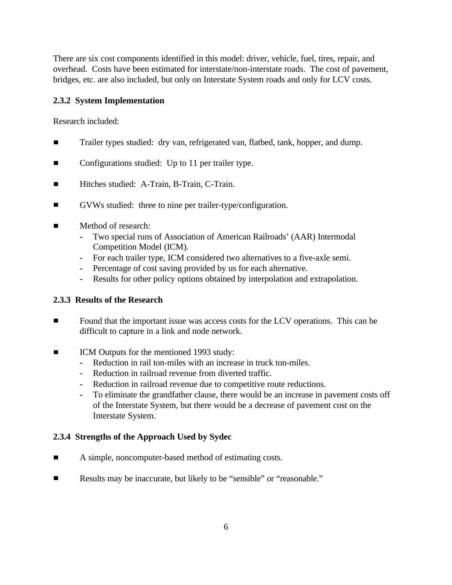There are six cost components identified in this model: driver, vehicle, fuel, tires, repair, and overhead. Costs have been estimated for interstate/non-interstate roads. The cost of pavement, bridges, etc. are also included, but only on Interstate System roads and only for LCV costs.

#### **2.3.2 System Implementation**

Research included:

- Trailer types studied: dry van, refrigerated van, flatbed, tank, hopper, and dump.  $\blacksquare$
- $\blacksquare$ Configurations studied: Up to 11 per trailer type.
- $\blacksquare$ Hitches studied: A-Train, B-Train, C-Train.
- GVWs studied: three to nine per trailer-type/configuration.  $\blacksquare$
- Method of research:  $\blacksquare$ 
	- **-** Two special runs of Association of American Railroads' (AAR) Intermodal Competition Model (ICM).
	- **-** For each trailer type, ICM considered two alternatives to a five-axle semi.
	- **-** Percentage of cost saving provided by us for each alternative.
	- **-** Results for other policy options obtained by interpolation and extrapolation.

#### **2.3.3 Results of the Research**

- $\blacksquare$ Found that the important issue was access costs for the LCV operations. This can be difficult to capture in a link and node network.
- ICM Outputs for the mentioned 1993 study:
	- **-** Reduction in rail ton-miles with an increase in truck ton-miles.
	- **-** Reduction in railroad revenue from diverted traffic.
	- **-** Reduction in railroad revenue due to competitive route reductions.
	- **-** To eliminate the grandfather clause, there would be an increase in pavement costs off of the Interstate System, but there would be a decrease of pavement cost on the Interstate System.

### **2.3.4 Strengths of the Approach Used by Sydec**

- A simple, noncomputer-based method of estimating costs.  $\blacksquare$
- $\blacksquare$ Results may be inaccurate, but likely to be "sensible" or "reasonable."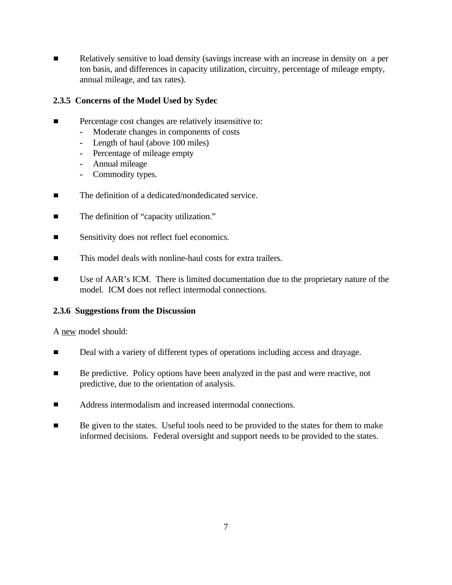Relatively sensitive to load density (savings increase with an increase in density on a per  $\blacksquare$ ton basis, and differences in capacity utilization, circuitry, percentage of mileage empty, annual mileage, and tax rates).

### **2.3.5 Concerns of the Model Used by Sydec**

- Percentage cost changes are relatively insensitive to:
	- **-** Moderate changes in components of costs
	- **-** Length of haul (above 100 miles)
	- **-** Percentage of mileage empty
	- **-** Annual mileage
	- **-** Commodity types.
- The definition of a dedicated/nondedicated service.  $\blacksquare$
- The definition of "capacity utilization."  $\blacksquare$
- $\blacksquare$ Sensitivity does not reflect fuel economics.
- This model deals with nonline-haul costs for extra trailers.  $\blacksquare$
- $\blacksquare$ Use of AAR's ICM. There is limited documentation due to the proprietary nature of the model. ICM does not reflect intermodal connections.

#### **2.3.6 Suggestions from the Discussion**

A new model should:

- $\blacksquare$ Deal with a variety of different types of operations including access and drayage.
- $\blacksquare$ Be predictive. Policy options have been analyzed in the past and were reactive, not predictive, due to the orientation of analysis.
- $\blacksquare$ Address intermodalism and increased intermodal connections.
- $\blacksquare$ Be given to the states. Useful tools need to be provided to the states for them to make informed decisions. Federal oversight and support needs to be provided to the states.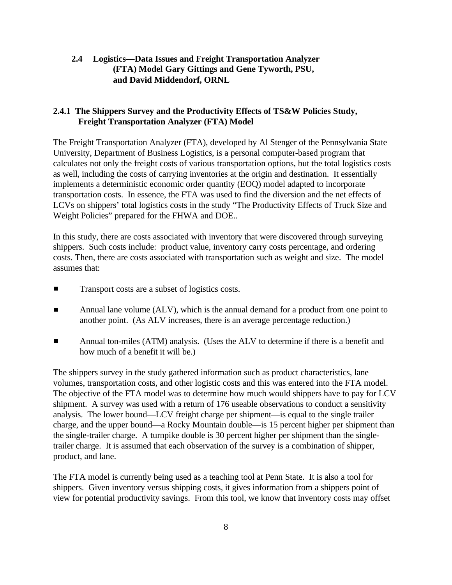#### **2.4 Logistics—Data Issues and Freight Transportation Analyzer (FTA) Model Gary Gittings and Gene Tyworth, PSU, and David Middendorf, ORNL**

#### **2.4.1 The Shippers Survey and the Productivity Effects of TS&W Policies Study, Freight Transportation Analyzer (FTA) Model**

The Freight Transportation Analyzer (FTA), developed by Al Stenger of the Pennsylvania State University, Department of Business Logistics, is a personal computer-based program that calculates not only the freight costs of various transportation options, but the total logistics costs as well, including the costs of carrying inventories at the origin and destination. It essentially implements a deterministic economic order quantity (EOQ) model adapted to incorporate transportation costs. In essence, the FTA was used to find the diversion and the net effects of LCVs on shippers' total logistics costs in the study "The Productivity Effects of Truck Size and Weight Policies" prepared for the FHWA and DOE..

In this study, there are costs associated with inventory that were discovered through surveying shippers. Such costs include: product value, inventory carry costs percentage, and ordering costs. Then, there are costs associated with transportation such as weight and size. The model assumes that:

- $\blacksquare$ Transport costs are a subset of logistics costs.
- Annual lane volume (ALV), which is the annual demand for a product from one point to  $\blacksquare$ another point. (As ALV increases, there is an average percentage reduction.)
- $\blacksquare$ Annual ton-miles (ATM) analysis. (Uses the ALV to determine if there is a benefit and how much of a benefit it will be.)

The shippers survey in the study gathered information such as product characteristics, lane volumes, transportation costs, and other logistic costs and this was entered into the FTA model. The objective of the FTA model was to determine how much would shippers have to pay for LCV shipment. A survey was used with a return of 176 useable observations to conduct a sensitivity analysis. The lower bound—LCV freight charge per shipment—is equal to the single trailer charge, and the upper bound—a Rocky Mountain double—is 15 percent higher per shipment than the single-trailer charge. A turnpike double is 30 percent higher per shipment than the singletrailer charge. It is assumed that each observation of the survey is a combination of shipper, product, and lane.

The FTA model is currently being used as a teaching tool at Penn State. It is also a tool for shippers. Given inventory versus shipping costs, it gives information from a shippers point of view for potential productivity savings. From this tool, we know that inventory costs may offset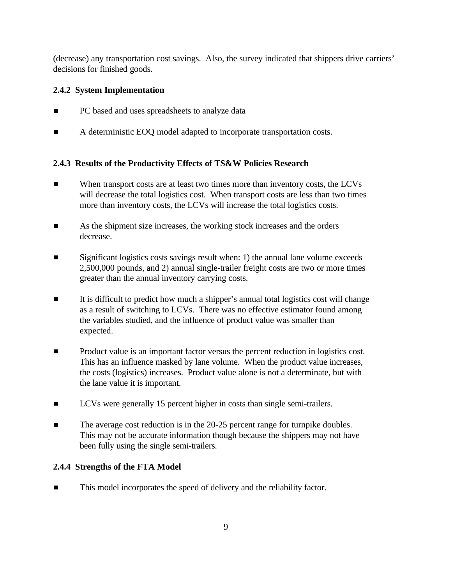(decrease) any transportation cost savings. Also, the survey indicated that shippers drive carriers' decisions for finished goods.

### **2.4.2 System Implementation**

- PC based and uses spreadsheets to analyze data  $\blacksquare$
- A deterministic EOQ model adapted to incorporate transportation costs.  $\blacksquare$

### **2.4.3 Results of the Productivity Effects of TS&W Policies Research**

- When transport costs are at least two times more than inventory costs, the LCVs  $\blacksquare$ will decrease the total logistics cost. When transport costs are less than two times more than inventory costs, the LCVs will increase the total logistics costs.
- $\blacksquare$ As the shipment size increases, the working stock increases and the orders decrease.
- $\blacksquare$ Significant logistics costs savings result when: 1) the annual lane volume exceeds 2,500,000 pounds, and 2) annual single-trailer freight costs are two or more times greater than the annual inventory carrying costs.
- It is difficult to predict how much a shipper's annual total logistics cost will change  $\blacksquare$ as a result of switching to LCVs. There was no effective estimator found among the variables studied, and the influence of product value was smaller than expected.
- $\blacksquare$ Product value is an important factor versus the percent reduction in logistics cost. This has an influence masked by lane volume. When the product value increases, the costs (logistics) increases. Product value alone is not a determinate, but with the lane value it is important.
- $\blacksquare$ LCVs were generally 15 percent higher in costs than single semi-trailers.
- $\blacksquare$ The average cost reduction is in the 20-25 percent range for turnpike doubles. This may not be accurate information though because the shippers may not have been fully using the single semi-trailers.

#### **2.4.4 Strengths of the FTA Model**

This model incorporates the speed of delivery and the reliability factor.٦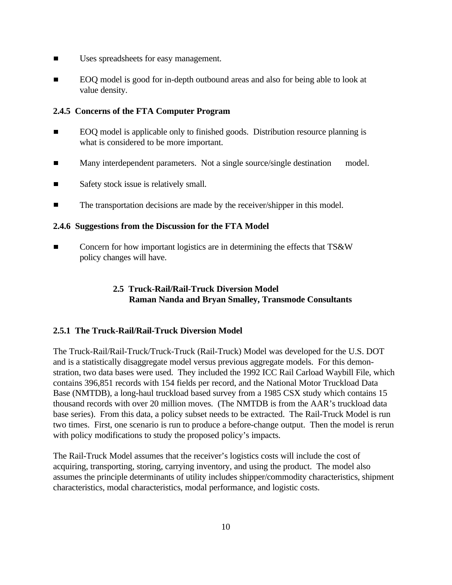- Uses spreadsheets for easy management.  $\blacksquare$
- $\blacksquare$ EOQ model is good for in-depth outbound areas and also for being able to look at value density.

#### **2.4.5 Concerns of the FTA Computer Program**

- $\blacksquare$ EOQ model is applicable only to finished goods. Distribution resource planning is what is considered to be more important.
- $\blacksquare$ Many interdependent parameters. Not a single source/single destination model.
- Safety stock issue is relatively small.  $\blacksquare$
- The transportation decisions are made by the receiver/shipper in this model.  $\blacksquare$

#### **2.4.6 Suggestions from the Discussion for the FTA Model**

 $\blacksquare$ Concern for how important logistics are in determining the effects that TS&W policy changes will have.

### **2.5 Truck-Rail/Rail-Truck Diversion Model Raman Nanda and Bryan Smalley, Transmode Consultants**

#### **2.5.1 The Truck-Rail/Rail-Truck Diversion Model**

The Truck-Rail/Rail-Truck/Truck-Truck (Rail-Truck) Model was developed for the U.S. DOT and is a statistically disaggregate model versus previous aggregate models. For this demonstration, two data bases were used. They included the 1992 ICC Rail Carload Waybill File, which contains 396,851 records with 154 fields per record, and the National Motor Truckload Data Base (NMTDB), a long-haul truckload based survey from a 1985 CSX study which contains 15 thousand records with over 20 million moves. (The NMTDB is from the AAR's truckload data base series). From this data, a policy subset needs to be extracted. The Rail-Truck Model is run two times. First, one scenario is run to produce a before-change output. Then the model is rerun with policy modifications to study the proposed policy's impacts.

The Rail-Truck Model assumes that the receiver's logistics costs will include the cost of acquiring, transporting, storing, carrying inventory, and using the product. The model also assumes the principle determinants of utility includes shipper/commodity characteristics, shipment characteristics, modal characteristics, modal performance, and logistic costs.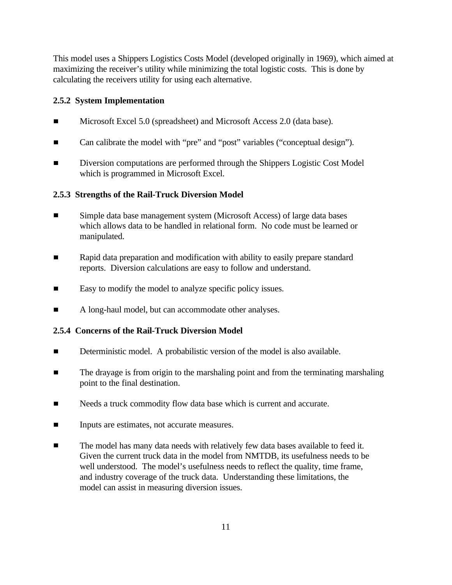This model uses a Shippers Logistics Costs Model (developed originally in 1969), which aimed at maximizing the receiver's utility while minimizing the total logistic costs. This is done by calculating the receivers utility for using each alternative.

#### **2.5.2 System Implementation**

- Microsoft Excel 5.0 (spreadsheet) and Microsoft Access 2.0 (data base).  $\blacksquare$
- Can calibrate the model with "pre" and "post" variables ("conceptual design").  $\blacksquare$
- $\blacksquare$ Diversion computations are performed through the Shippers Logistic Cost Model which is programmed in Microsoft Excel.

#### **2.5.3 Strengths of the Rail-Truck Diversion Model**

- $\blacksquare$ Simple data base management system (Microsoft Access) of large data bases which allows data to be handled in relational form. No code must be learned or manipulated.
- $\blacksquare$ Rapid data preparation and modification with ability to easily prepare standard reports. Diversion calculations are easy to follow and understand.
- $\blacksquare$ Easy to modify the model to analyze specific policy issues.
- A long-haul model, but can accommodate other analyses.  $\blacksquare$

#### **2.5.4 Concerns of the Rail-Truck Diversion Model**

- $\blacksquare$ Deterministic model. A probabilistic version of the model is also available.
- The drayage is from origin to the marshaling point and from the terminating marshaling  $\blacksquare$ point to the final destination.
- $\blacksquare$ Needs a truck commodity flow data base which is current and accurate.
- $\blacksquare$ Inputs are estimates, not accurate measures.
- The model has many data needs with relatively few data bases available to feed it.  $\blacksquare$ Given the current truck data in the model from NMTDB, its usefulness needs to be well understood. The model's usefulness needs to reflect the quality, time frame, and industry coverage of the truck data. Understanding these limitations, the model can assist in measuring diversion issues.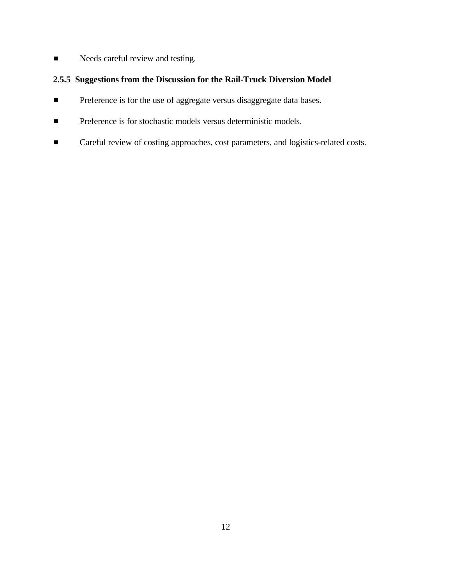Needs careful review and testing.  $\blacksquare$ 

### **2.5.5 Suggestions from the Discussion for the Rail-Truck Diversion Model**

- Preference is for the use of aggregate versus disaggregate data bases.  $\blacksquare$
- Preference is for stochastic models versus deterministic models.  $\blacksquare$
- Careful review of costing approaches, cost parameters, and logistics-related costs. $\blacksquare$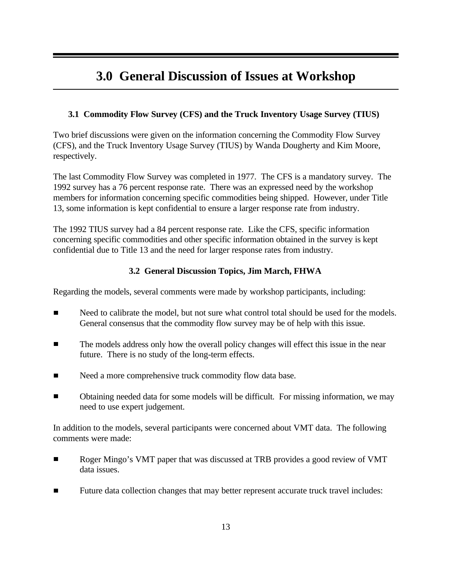# **3.0 General Discussion of Issues at Workshop**

### **3.1 Commodity Flow Survey (CFS) and the Truck Inventory Usage Survey (TIUS)**

Two brief discussions were given on the information concerning the Commodity Flow Survey (CFS), and the Truck Inventory Usage Survey (TIUS) by Wanda Dougherty and Kim Moore, respectively.

The last Commodity Flow Survey was completed in 1977. The CFS is a mandatory survey. The 1992 survey has a 76 percent response rate. There was an expressed need by the workshop members for information concerning specific commodities being shipped. However, under Title 13, some information is kept confidential to ensure a larger response rate from industry.

The 1992 TIUS survey had a 84 percent response rate. Like the CFS, specific information concerning specific commodities and other specific information obtained in the survey is kept confidential due to Title 13 and the need for larger response rates from industry.

#### **3.2 General Discussion Topics, Jim March, FHWA**

Regarding the models, several comments were made by workshop participants, including:

- $\blacksquare$ Need to calibrate the model, but not sure what control total should be used for the models. General consensus that the commodity flow survey may be of help with this issue.
- The models address only how the overall policy changes will effect this issue in the near  $\blacksquare$ future. There is no study of the long-term effects.
- Need a more comprehensive truck commodity flow data base.  $\blacksquare$
- $\blacksquare$ Obtaining needed data for some models will be difficult. For missing information, we may need to use expert judgement.

In addition to the models, several participants were concerned about VMT data. The following comments were made:

- $\blacksquare$ Roger Mingo's VMT paper that was discussed at TRB provides a good review of VMT data issues.
- $\blacksquare$ Future data collection changes that may better represent accurate truck travel includes: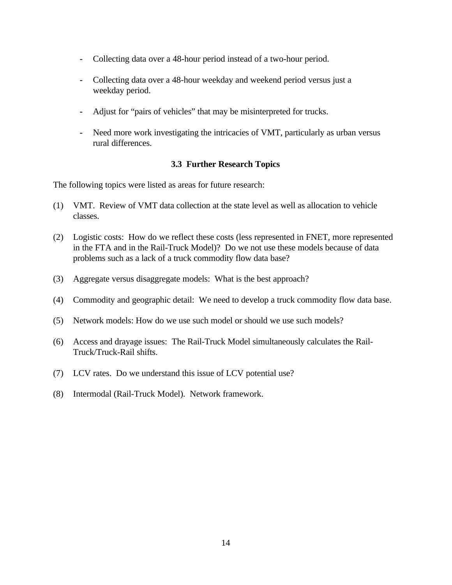- **-** Collecting data over a 48-hour period instead of a two-hour period.
- **-** Collecting data over a 48-hour weekday and weekend period versus just a weekday period.
- **-** Adjust for "pairs of vehicles" that may be misinterpreted for trucks.
- **-** Need more work investigating the intricacies of VMT, particularly as urban versus rural differences.

#### **3.3 Further Research Topics**

The following topics were listed as areas for future research:

- (1) VMT. Review of VMT data collection at the state level as well as allocation to vehicle classes.
- (2) Logistic costs: How do we reflect these costs (less represented in FNET, more represented in the FTA and in the Rail-Truck Model)? Do we not use these models because of data problems such as a lack of a truck commodity flow data base?
- (3) Aggregate versus disaggregate models: What is the best approach?
- (4) Commodity and geographic detail: We need to develop a truck commodity flow data base.
- (5) Network models: How do we use such model or should we use such models?
- (6) Access and drayage issues: The Rail-Truck Model simultaneously calculates the Rail-Truck/Truck-Rail shifts.
- (7) LCV rates. Do we understand this issue of LCV potential use?
- (8) Intermodal (Rail-Truck Model). Network framework.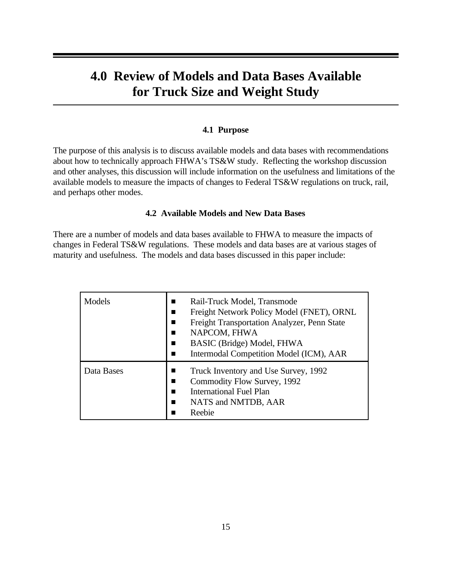# **4.0 Review of Models and Data Bases Available for Truck Size and Weight Study**

#### **4.1 Purpose**

The purpose of this analysis is to discuss available models and data bases with recommendations about how to technically approach FHWA's TS&W study. Reflecting the workshop discussion and other analyses, this discussion will include information on the usefulness and limitations of the available models to measure the impacts of changes to Federal TS&W regulations on truck, rail, and perhaps other modes.

#### **4.2 Available Models and New Data Bases**

There are a number of models and data bases available to FHWA to measure the impacts of changes in Federal TS&W regulations. These models and data bases are at various stages of maturity and usefulness. The models and data bases discussed in this paper include:

| Models     | Rail-Truck Model, Transmode<br>H.<br>Freight Network Policy Model (FNET), ORNL<br>ш<br>Freight Transportation Analyzer, Penn State<br>NAPCOM, FHWA<br>BASIC (Bridge) Model, FHWA<br>Intermodal Competition Model (ICM), AAR |
|------------|-----------------------------------------------------------------------------------------------------------------------------------------------------------------------------------------------------------------------------|
| Data Bases | Truck Inventory and Use Survey, 1992<br>Commodity Flow Survey, 1992<br><b>International Fuel Plan</b><br>NATS and NMTDB, AAR<br>Reebie                                                                                      |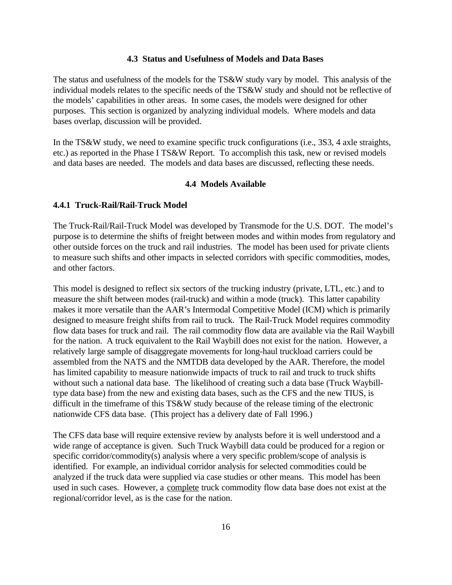#### **4.3 Status and Usefulness of Models and Data Bases**

The status and usefulness of the models for the TS&W study vary by model. This analysis of the individual models relates to the specific needs of the TS&W study and should not be reflective of the models' capabilities in other areas. In some cases, the models were designed for other purposes. This section is organized by analyzing individual models. Where models and data bases overlap, discussion will be provided.

In the TS&W study, we need to examine specific truck configurations (i.e., 3S3, 4 axle straights, etc.) as reported in the Phase I TS&W Report. To accomplish this task, new or revised models and data bases are needed. The models and data bases are discussed, reflecting these needs.

#### **4.4 Models Available**

#### **4.4.1 Truck-Rail/Rail-Truck Model**

The Truck-Rail/Rail-Truck Model was developed by Transmode for the U.S. DOT. The model's purpose is to determine the shifts of freight between modes and within modes from regulatory and other outside forces on the truck and rail industries. The model has been used for private clients to measure such shifts and other impacts in selected corridors with specific commodities, modes, and other factors.

This model is designed to reflect six sectors of the trucking industry (private, LTL, etc.) and to measure the shift between modes (rail-truck) and within a mode (truck). This latter capability makes it more versatile than the AAR's Intermodal Competitive Model (ICM) which is primarily designed to measure freight shifts from rail to truck. The Rail-Truck Model requires commodity flow data bases for truck and rail. The rail commodity flow data are available via the Rail Waybill for the nation. A truck equivalent to the Rail Waybill does not exist for the nation. However, a relatively large sample of disaggregate movements for long-haul truckload carriers could be assembled from the NATS and the NMTDB data developed by the AAR. Therefore, the model has limited capability to measure nationwide impacts of truck to rail and truck to truck shifts without such a national data base. The likelihood of creating such a data base (Truck Waybilltype data base) from the new and existing data bases, such as the CFS and the new TIUS, is difficult in the timeframe of this TS&W study because of the release timing of the electronic nationwide CFS data base. (This project has a delivery date of Fall 1996.)

The CFS data base will require extensive review by analysts before it is well understood and a wide range of acceptance is given. Such Truck Waybill data could be produced for a region or specific corridor/commodity(s) analysis where a very specific problem/scope of analysis is identified. For example, an individual corridor analysis for selected commodities could be analyzed if the truck data were supplied via case studies or other means. This model has been used in such cases. However, a complete truck commodity flow data base does not exist at the regional/corridor level, as is the case for the nation.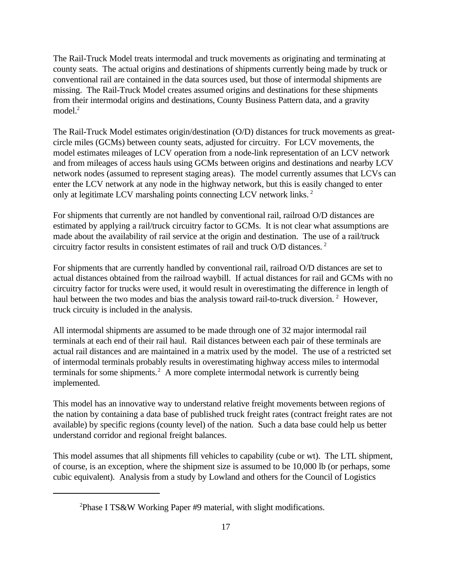The Rail-Truck Model treats intermodal and truck movements as originating and terminating at county seats. The actual origins and destinations of shipments currently being made by truck or conventional rail are contained in the data sources used, but those of intermodal shipments are missing. The Rail-Truck Model creates assumed origins and destinations for these shipments from their intermodal origins and destinations, County Business Pattern data, and a gravity model.<sup>2</sup>

The Rail-Truck Model estimates origin/destination (O/D) distances for truck movements as greatcircle miles (GCMs) between county seats, adjusted for circuitry. For LCV movements, the model estimates mileages of LCV operation from a node-link representation of an LCV network and from mileages of access hauls using GCMs between origins and destinations and nearby LCV network nodes (assumed to represent staging areas). The model currently assumes that LCVs can enter the LCV network at any node in the highway network, but this is easily changed to enter only at legitimate LCV marshaling points connecting LCV network links.<sup>2</sup>

For shipments that currently are not handled by conventional rail, railroad O/D distances are estimated by applying a rail/truck circuitry factor to GCMs. It is not clear what assumptions are made about the availability of rail service at the origin and destination. The use of a rail/truck circuitry factor results in consistent estimates of rail and truck O/D distances. <sup>2</sup>

For shipments that are currently handled by conventional rail, railroad O/D distances are set to actual distances obtained from the railroad waybill. If actual distances for rail and GCMs with no circuitry factor for trucks were used, it would result in overestimating the difference in length of haul between the two modes and bias the analysis toward rail-to-truck diversion.<sup>2</sup> However, truck circuity is included in the analysis.

All intermodal shipments are assumed to be made through one of 32 major intermodal rail terminals at each end of their rail haul. Rail distances between each pair of these terminals are actual rail distances and are maintained in a matrix used by the model. The use of a restricted set of intermodal terminals probably results in overestimating highway access miles to intermodal terminals for some shipments.<sup>2</sup> A more complete intermodal network is currently being implemented.

This model has an innovative way to understand relative freight movements between regions of the nation by containing a data base of published truck freight rates (contract freight rates are not available) by specific regions (county level) of the nation. Such a data base could help us better understand corridor and regional freight balances.

This model assumes that all shipments fill vehicles to capability (cube or wt). The LTL shipment, of course, is an exception, where the shipment size is assumed to be 10,000 lb (or perhaps, some cubic equivalent). Analysis from a study by Lowland and others for the Council of Logistics

<sup>&</sup>lt;sup>2</sup>Phase I TS&W Working Paper #9 material, with slight modifications.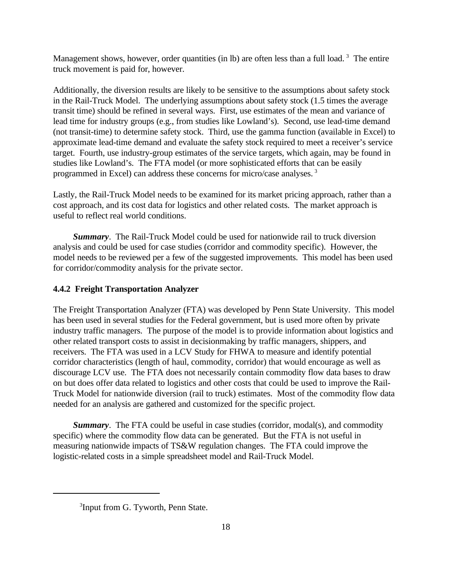Management shows, however, order quantities (in lb) are often less than a full load.<sup>3</sup> The entire truck movement is paid for, however.

Additionally, the diversion results are likely to be sensitive to the assumptions about safety stock in the Rail-Truck Model. The underlying assumptions about safety stock (1.5 times the average transit time) should be refined in several ways. First, use estimates of the mean and variance of lead time for industry groups (e.g., from studies like Lowland's). Second, use lead-time demand (not transit-time) to determine safety stock. Third, use the gamma function (available in Excel) to approximate lead-time demand and evaluate the safety stock required to meet a receiver's service target. Fourth, use industry-group estimates of the service targets, which again, may be found in studies like Lowland's. The FTA model (or more sophisticated efforts that can be easily programmed in Excel) can address these concerns for micro/case analyses. <sup>3</sup>

Lastly, the Rail-Truck Model needs to be examined for its market pricing approach, rather than a cost approach, and its cost data for logistics and other related costs. The market approach is useful to reflect real world conditions.

*Summary*. The Rail-Truck Model could be used for nationwide rail to truck diversion analysis and could be used for case studies (corridor and commodity specific). However, the model needs to be reviewed per a few of the suggested improvements. This model has been used for corridor/commodity analysis for the private sector.

#### **4.4.2 Freight Transportation Analyzer**

The Freight Transportation Analyzer (FTA) was developed by Penn State University. This model has been used in several studies for the Federal government, but is used more often by private industry traffic managers. The purpose of the model is to provide information about logistics and other related transport costs to assist in decisionmaking by traffic managers, shippers, and receivers. The FTA was used in a LCV Study for FHWA to measure and identify potential corridor characteristics (length of haul, commodity, corridor) that would encourage as well as discourage LCV use. The FTA does not necessarily contain commodity flow data bases to draw on but does offer data related to logistics and other costs that could be used to improve the Rail-Truck Model for nationwide diversion (rail to truck) estimates. Most of the commodity flow data needed for an analysis are gathered and customized for the specific project.

**Summary**. The FTA could be useful in case studies (corridor, modal(s), and commodity specific) where the commodity flow data can be generated. But the FTA is not useful in measuring nationwide impacts of TS&W regulation changes. The FTA could improve the logistic-related costs in a simple spreadsheet model and Rail-Truck Model.

<sup>&</sup>lt;sup>3</sup>Input from G. Tyworth, Penn State.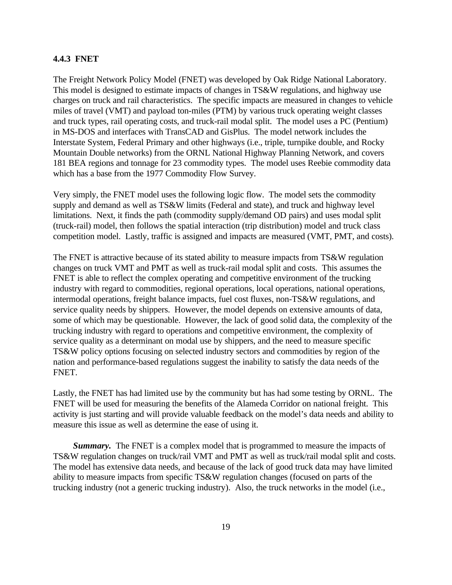#### **4.4.3 FNET**

The Freight Network Policy Model (FNET) was developed by Oak Ridge National Laboratory. This model is designed to estimate impacts of changes in TS&W regulations, and highway use charges on truck and rail characteristics. The specific impacts are measured in changes to vehicle miles of travel (VMT) and payload ton-miles (PTM) by various truck operating weight classes and truck types, rail operating costs, and truck-rail modal split. The model uses a PC (Pentium) in MS-DOS and interfaces with TransCAD and GisPlus. The model network includes the Interstate System, Federal Primary and other highways (i.e., triple, turnpike double, and Rocky Mountain Double networks) from the ORNL National Highway Planning Network, and covers 181 BEA regions and tonnage for 23 commodity types. The model uses Reebie commodity data which has a base from the 1977 Commodity Flow Survey.

Very simply, the FNET model uses the following logic flow. The model sets the commodity supply and demand as well as TS&W limits (Federal and state), and truck and highway level limitations. Next, it finds the path (commodity supply/demand OD pairs) and uses modal split (truck-rail) model, then follows the spatial interaction (trip distribution) model and truck class competition model. Lastly, traffic is assigned and impacts are measured (VMT, PMT, and costs).

The FNET is attractive because of its stated ability to measure impacts from TS&W regulation changes on truck VMT and PMT as well as truck-rail modal split and costs. This assumes the FNET is able to reflect the complex operating and competitive environment of the trucking industry with regard to commodities, regional operations, local operations, national operations, intermodal operations, freight balance impacts, fuel cost fluxes, non-TS&W regulations, and service quality needs by shippers. However, the model depends on extensive amounts of data, some of which may be questionable. However, the lack of good solid data, the complexity of the trucking industry with regard to operations and competitive environment, the complexity of service quality as a determinant on modal use by shippers, and the need to measure specific TS&W policy options focusing on selected industry sectors and commodities by region of the nation and performance-based regulations suggest the inability to satisfy the data needs of the FNET.

Lastly, the FNET has had limited use by the community but has had some testing by ORNL. The FNET will be used for measuring the benefits of the Alameda Corridor on national freight. This activity is just starting and will provide valuable feedback on the model's data needs and ability to measure this issue as well as determine the ease of using it.

*Summary.* The FNET is a complex model that is programmed to measure the impacts of TS&W regulation changes on truck/rail VMT and PMT as well as truck/rail modal split and costs. The model has extensive data needs, and because of the lack of good truck data may have limited ability to measure impacts from specific TS&W regulation changes (focused on parts of the trucking industry (not a generic trucking industry). Also, the truck networks in the model (i.e.,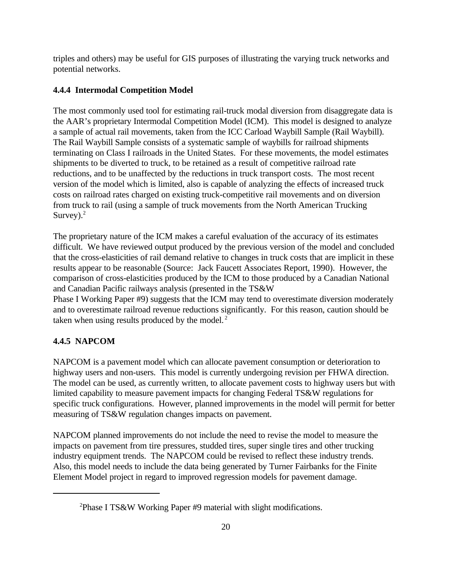triples and others) may be useful for GIS purposes of illustrating the varying truck networks and potential networks.

### **4.4.4 Intermodal Competition Model**

The most commonly used tool for estimating rail-truck modal diversion from disaggregate data is the AAR's proprietary Intermodal Competition Model (ICM). This model is designed to analyze a sample of actual rail movements, taken from the ICC Carload Waybill Sample (Rail Waybill). The Rail Waybill Sample consists of a systematic sample of waybills for railroad shipments terminating on Class I railroads in the United States. For these movements, the model estimates shipments to be diverted to truck, to be retained as a result of competitive railroad rate reductions, and to be unaffected by the reductions in truck transport costs. The most recent version of the model which is limited, also is capable of analyzing the effects of increased truck costs on railroad rates charged on existing truck-competitive rail movements and on diversion from truck to rail (using a sample of truck movements from the North American Trucking Survey). $2$ 

The proprietary nature of the ICM makes a careful evaluation of the accuracy of its estimates difficult. We have reviewed output produced by the previous version of the model and concluded that the cross-elasticities of rail demand relative to changes in truck costs that are implicit in these results appear to be reasonable (Source: Jack Faucett Associates Report, 1990). However, the comparison of cross-elasticities produced by the ICM to those produced by a Canadian National and Canadian Pacific railways analysis (presented in the TS&W

Phase I Working Paper #9) suggests that the ICM may tend to overestimate diversion moderately and to overestimate railroad revenue reductions significantly. For this reason, caution should be taken when using results produced by the model. $<sup>2</sup>$ </sup>

### **4.4.5 NAPCOM**

NAPCOM is a pavement model which can allocate pavement consumption or deterioration to highway users and non-users. This model is currently undergoing revision per FHWA direction. The model can be used, as currently written, to allocate pavement costs to highway users but with limited capability to measure pavement impacts for changing Federal TS&W regulations for specific truck configurations. However, planned improvements in the model will permit for better measuring of TS&W regulation changes impacts on pavement.

NAPCOM planned improvements do not include the need to revise the model to measure the impacts on pavement from tire pressures, studded tires, super single tires and other trucking industry equipment trends. The NAPCOM could be revised to reflect these industry trends. Also, this model needs to include the data being generated by Turner Fairbanks for the Finite Element Model project in regard to improved regression models for pavement damage.

<sup>&</sup>lt;sup>2</sup>Phase I TS&W Working Paper #9 material with slight modifications.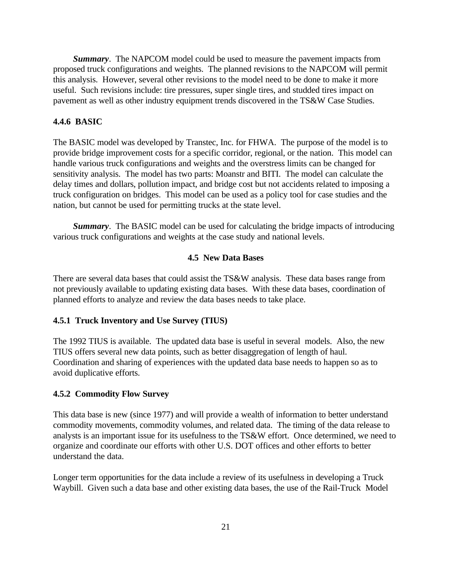*Summary*. The NAPCOM model could be used to measure the pavement impacts from proposed truck configurations and weights. The planned revisions to the NAPCOM will permit this analysis. However, several other revisions to the model need to be done to make it more useful. Such revisions include: tire pressures, super single tires, and studded tires impact on pavement as well as other industry equipment trends discovered in the TS&W Case Studies.

#### **4.4.6 BASIC**

The BASIC model was developed by Transtec, Inc. for FHWA. The purpose of the model is to provide bridge improvement costs for a specific corridor, regional, or the nation. This model can handle various truck configurations and weights and the overstress limits can be changed for sensitivity analysis. The model has two parts: Moanstr and BITI. The model can calculate the delay times and dollars, pollution impact, and bridge cost but not accidents related to imposing a truck configuration on bridges. This model can be used as a policy tool for case studies and the nation, but cannot be used for permitting trucks at the state level.

*Summary*. The BASIC model can be used for calculating the bridge impacts of introducing various truck configurations and weights at the case study and national levels.

#### **4.5 New Data Bases**

There are several data bases that could assist the TS&W analysis. These data bases range from not previously available to updating existing data bases. With these data bases, coordination of planned efforts to analyze and review the data bases needs to take place.

#### **4.5.1 Truck Inventory and Use Survey (TIUS)**

The 1992 TIUS is available. The updated data base is useful in several models. Also, the new TIUS offers several new data points, such as better disaggregation of length of haul. Coordination and sharing of experiences with the updated data base needs to happen so as to avoid duplicative efforts.

#### **4.5.2 Commodity Flow Survey**

This data base is new (since 1977) and will provide a wealth of information to better understand commodity movements, commodity volumes, and related data. The timing of the data release to analysts is an important issue for its usefulness to the TS&W effort. Once determined, we need to organize and coordinate our efforts with other U.S. DOT offices and other efforts to better understand the data.

Longer term opportunities for the data include a review of its usefulness in developing a Truck Waybill. Given such a data base and other existing data bases, the use of the Rail-Truck Model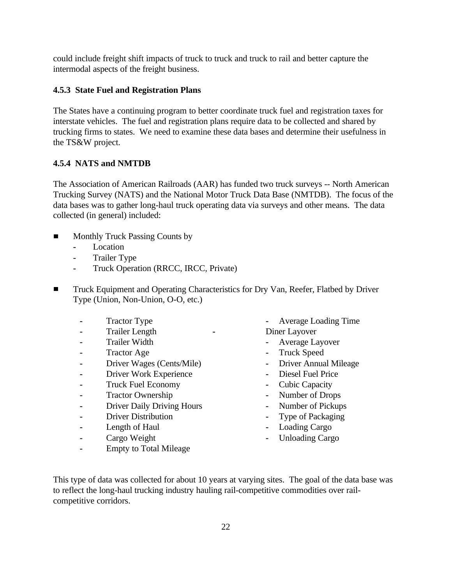could include freight shift impacts of truck to truck and truck to rail and better capture the intermodal aspects of the freight business.

#### **4.5.3 State Fuel and Registration Plans**

The States have a continuing program to better coordinate truck fuel and registration taxes for interstate vehicles. The fuel and registration plans require data to be collected and shared by trucking firms to states. We need to examine these data bases and determine their usefulness in the TS&W project.

#### **4.5.4 NATS and NMTDB**

The Association of American Railroads (AAR) has funded two truck surveys -- North American Trucking Survey (NATS) and the National Motor Truck Data Base (NMTDB). The focus of the data bases was to gather long-haul truck operating data via surveys and other means. The data collected (in general) included:

- Monthly Truck Passing Counts by  $\blacksquare$ 
	- **-** Location
	- **-** Trailer Type
	- **-** Truck Operation (RRCC, IRCC, Private)
- Truck Equipment and Operating Characteristics for Dry Van, Reefer, Flatbed by Driver  $\blacksquare$ Type (Union, Non-Union, O-O, etc.)
	-
	- **-** Trailer Length **-** Diner Layover
	- **-** Trailer Width **-** Average Layover
	-
	- **-** Driver Wages (Cents/Mile) **-** Driver Annual Mileage
	- **-** Driver Work Experience **-** Diesel Fuel Price
	- **-** Truck Fuel Economy **-** Cubic Capacity
	- **-** Tractor Ownership **-** Number of Drops
	- **-** Driver Daily Driving Hours **-** Number of Pickups
	- **-** Driver Distribution **-** Type of Packaging
	-
	- **-** Cargo Weight **-** Unloading Cargo
	- **-** Empty to Total Mileage
- **-** Tractor Type **-** Average Loading Time
	-
	- **-** Tractor Age **-** Truck Speed
		-
		-
		-
		-
		-
		-
	- **-** Length of Haul **-** Loading Cargo
		-

This type of data was collected for about 10 years at varying sites. The goal of the data base was to reflect the long-haul trucking industry hauling rail-competitive commodities over railcompetitive corridors.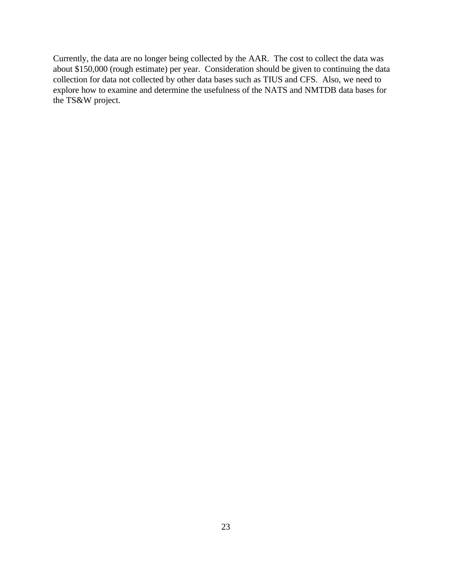Currently, the data are no longer being collected by the AAR. The cost to collect the data was about \$150,000 (rough estimate) per year. Consideration should be given to continuing the data collection for data not collected by other data bases such as TIUS and CFS. Also, we need to explore how to examine and determine the usefulness of the NATS and NMTDB data bases for the TS&W project.